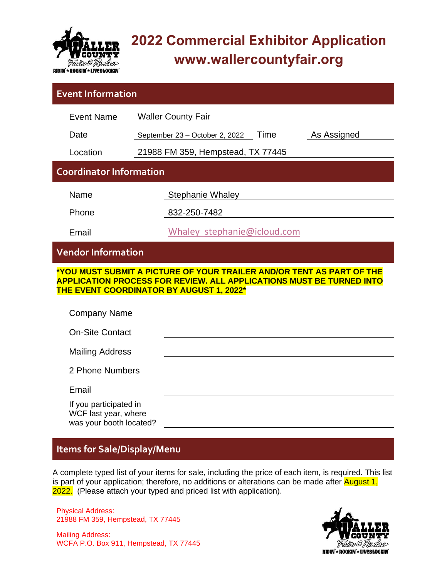

# **2022 Commercial Exhibitor Application www.wallercountyfair.org**

| <b>Event Information</b>                                                                                                                                                                                                       |                                                       |  |  |  |  |  |
|--------------------------------------------------------------------------------------------------------------------------------------------------------------------------------------------------------------------------------|-------------------------------------------------------|--|--|--|--|--|
| <b>Event Name</b>                                                                                                                                                                                                              | <b>Waller County Fair</b>                             |  |  |  |  |  |
| Date                                                                                                                                                                                                                           | Time<br>As Assigned<br>September 23 - October 2, 2022 |  |  |  |  |  |
| Location                                                                                                                                                                                                                       | 21988 FM 359, Hempstead, TX 77445                     |  |  |  |  |  |
| <b>Coordinator Information</b>                                                                                                                                                                                                 |                                                       |  |  |  |  |  |
| Name                                                                                                                                                                                                                           | <b>Stephanie Whaley</b>                               |  |  |  |  |  |
| Phone                                                                                                                                                                                                                          | 832-250-7482                                          |  |  |  |  |  |
| Email                                                                                                                                                                                                                          | Whaley stephanie@icloud.com                           |  |  |  |  |  |
| <b>Vendor Information</b>                                                                                                                                                                                                      |                                                       |  |  |  |  |  |
| <u>*YOU MUST SUBMIT A PICTURE OF YOUR TRAILER AND/OR TENT AS PART OF THE</u><br><b>APPLICATION PROCESS FOR REVIEW. ALL APPLICATIONS MUST BE TURNED INTO</b><br>THE EVENT COORDINATOR BY AUGUST 1, 2022*<br><b>Company Name</b> |                                                       |  |  |  |  |  |
| <b>On-Site Contact</b>                                                                                                                                                                                                         |                                                       |  |  |  |  |  |
| <b>Mailing Address</b>                                                                                                                                                                                                         |                                                       |  |  |  |  |  |
| 2 Phone Numbers                                                                                                                                                                                                                |                                                       |  |  |  |  |  |
| Email                                                                                                                                                                                                                          |                                                       |  |  |  |  |  |
| If you participated in<br>WCF last year, where<br>was your booth located?                                                                                                                                                      |                                                       |  |  |  |  |  |

## **Items for Sale/Display/Menu**

A complete typed list of your items for sale, including the price of each item, is required. This list is part of your application; therefore, no additions or alterations can be made after August 1, 2022. (Please attach your typed and priced list with application).

Physical Address: 21988 FM 359, Hempstead, TX 77445

Mailing Address: WCFA P.O. Box 911, Hempstead, TX 77445